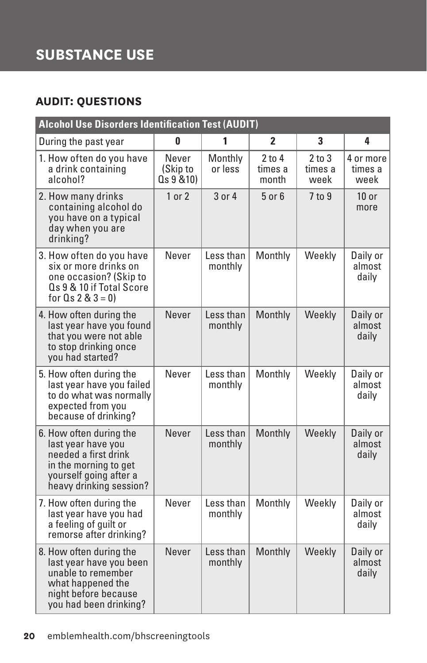# **SUBSTANCE USE**

### **AUDIT: QUESTIONS**

| <b>Alcohol Use Disorders Identification Test (AUDIT)</b>                                                                                            |                                 |                      |                                |                               |                              |
|-----------------------------------------------------------------------------------------------------------------------------------------------------|---------------------------------|----------------------|--------------------------------|-------------------------------|------------------------------|
| During the past year                                                                                                                                | 0                               | 1                    | $\overline{2}$                 | 3                             | 4                            |
| 1. How often do you have<br>a drink containing<br>alcohol?                                                                                          | Never<br>(Skip to<br>Qs 9 & 10) | Monthly<br>or less   | $2$ to $4$<br>times a<br>month | $2$ to $3$<br>times a<br>week | 4 or more<br>times a<br>week |
| 2. How many drinks<br>containing alcohol do<br>you have on a typical<br>day when you are<br>drinking?                                               | 1 or 2                          | 3 or 4               | $5$ or $6$                     | 7 to 9                        | $10$ or<br>more              |
| 3. How often do you have<br>six or more drinks on<br>one occasion? (Skip to<br>Qs 9 & 10 if Total Score<br>for $Q_s 2 & 3 = 0$                      | Never                           | Less than<br>monthly | Monthly                        | Weekly                        | Daily or<br>almost<br>daily  |
| 4. How often during the<br>last year have you found<br>that you were not able<br>to stop drinking once<br>you had started?                          | Never                           | Less than<br>monthly | Monthly                        | Weekly                        | Daily or<br>almost<br>daily  |
| 5. How often during the<br>last year have you failed<br>to do what was normally<br>expected from you<br>because of drinking?                        | Never                           | Less than<br>monthly | Monthly                        | Weekly                        | Daily or<br>almost<br>daily  |
| 6. How often during the<br>last year have you<br>needed a first drink<br>in the morning to get<br>yourself going after a<br>heavy drinking session? | Never                           | Less than<br>monthly | Monthly                        | Weekly                        | Daily or<br>almost<br>daily  |
| 7. How often during the<br>last year have you had<br>a feeling of quilt or<br>remorse after drinking?                                               | Never                           | Less than<br>monthly | Monthly                        | Weekly                        | Daily or<br>almost<br>daily  |
| 8. How often during the<br>last year have you been<br>unable to remember<br>what happened the<br>night before because<br>you had been drinking?     | Never                           | Less than<br>monthly | Monthly                        | Weekly                        | Daily or<br>almost<br>daily  |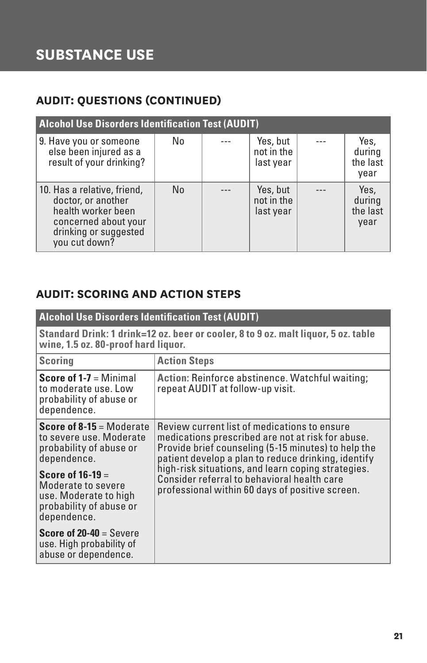#### **AUDIT: QUESTIONS (CONTINUED)**

| <b>Alcohol Use Disorders Identification Test (AUDIT)</b>                                                                                  |                |  |                                     |  |                                    |
|-------------------------------------------------------------------------------------------------------------------------------------------|----------------|--|-------------------------------------|--|------------------------------------|
| 9. Have you or someone<br>else been injured as a<br>result of your drinking?                                                              | No             |  | Yes, but<br>not in the<br>last year |  | Yes,<br>during<br>the last<br>year |
| 10. Has a relative, friend,<br>doctor, or another<br>health worker been<br>concerned about your<br>drinking or suggested<br>you cut down? | N <sub>0</sub> |  | Yes, but<br>not in the<br>last year |  | Yes,<br>during<br>the last<br>year |

#### **AUDIT: SCORING AND ACTION STEPS**

| <b>Alcohol Use Disorders Identification Test (AUDIT)</b>                                                                  |                                                                                                                                                                                                                 |  |  |  |
|---------------------------------------------------------------------------------------------------------------------------|-----------------------------------------------------------------------------------------------------------------------------------------------------------------------------------------------------------------|--|--|--|
| Standard Drink: 1 drink=12 oz. beer or cooler, 8 to 9 oz. malt liquor, 5 oz. table<br>wine, 1.5 oz. 80-proof hard liquor. |                                                                                                                                                                                                                 |  |  |  |
| <b>Scoring</b>                                                                                                            | <b>Action Steps</b>                                                                                                                                                                                             |  |  |  |
| <b>Score of 1-7</b> = Minimal<br>to moderate use. Low<br>probability of abuse or<br>dependence.                           | Action: Reinforce abstinence. Watchful waiting;<br>repeat AUDIT at follow-up visit.                                                                                                                             |  |  |  |
| <b>Score of 8-15 = Moderate</b><br>to severe use. Moderate<br>probability of abuse or<br>dependence.                      | Review current list of medications to ensure<br>medications prescribed are not at risk for abuse.<br>Provide brief counseling (5-15 minutes) to help the<br>patient develop a plan to reduce drinking, identify |  |  |  |
| Score of $16-19=$<br>Moderate to severe<br>use. Moderate to high<br>probability of abuse or<br>dependence.                | high-risk situations, and learn coping strategies.<br>Consider referral to behavioral health care<br>professional within 60 days of positive screen.                                                            |  |  |  |
| <b>Score of 20-40</b> = Severe<br>use. High probability of<br>abuse or dependence.                                        |                                                                                                                                                                                                                 |  |  |  |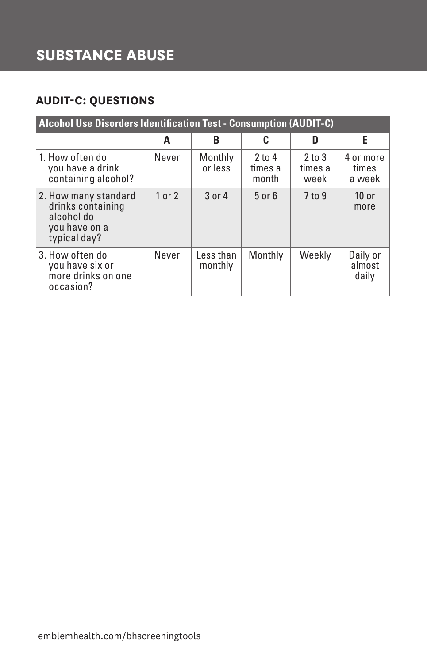## **SUBSTANCE ABUSE**

#### **AUDIT-C: QUESTIONS**

| <b>Alcohol Use Disorders Identification Test - Consumption (AUDIT-C)</b>                 |        |                      |                              |                               |                              |
|------------------------------------------------------------------------------------------|--------|----------------------|------------------------------|-------------------------------|------------------------------|
|                                                                                          | A      | B                    | c                            | D                             | Е                            |
| 1. How often do<br>you have a drink<br>containing alcohol?                               | Never  | Monthly<br>or less   | $2$ to 4<br>times a<br>month | $2$ to $3$<br>times a<br>week | 4 or more<br>times<br>a week |
| 2. How many standard<br>drinks containing<br>alcohol do<br>you have on a<br>typical day? | 1 or 2 | 3 or 4               | $5$ or $6$                   | $7$ to $9$                    | $10$ or<br>more              |
| 3. How often do<br>you have six or<br>more drinks on one<br>occasion?                    | Never  | Less than<br>monthly | Monthly                      | Weekly                        | Daily or<br>almost<br>daily  |